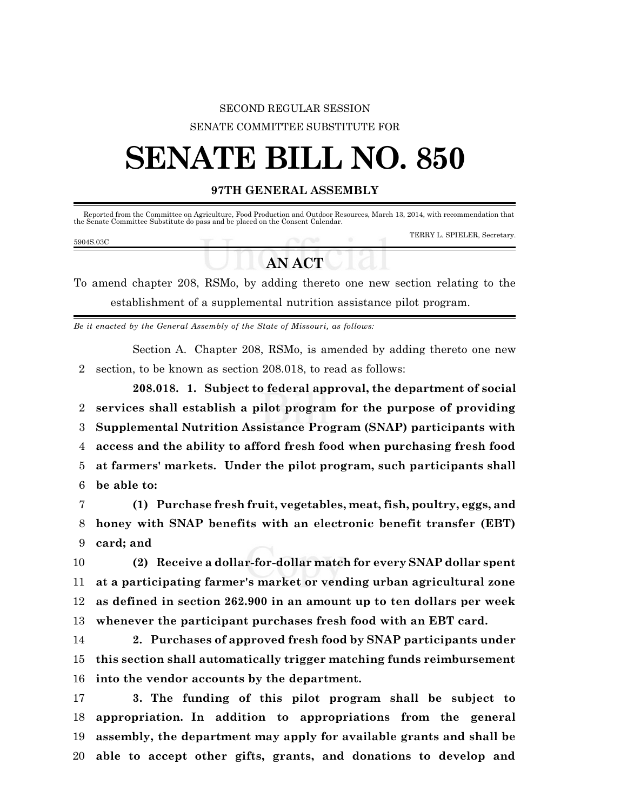## SECOND REGULAR SESSION SENATE COMMITTEE SUBSTITUTE FOR

# **SENATE BILL NO. 850**

### **97TH GENERAL ASSEMBLY**

Reported from the Committee on Agriculture, Food Production and Outdoor Resources, March 13, 2014, with recommendation that the Senate Committee Substitute do pass and be placed on the Consent Calendar.

#### 5904S.03C

TERRY L. SPIELER, Secretary.

## **AN ACT**

To amend chapter 208, RSMo, by adding thereto one new section relating to the establishment of a supplemental nutrition assistance pilot program.

*Be it enacted by the General Assembly of the State of Missouri, as follows:*

Section A. Chapter 208, RSMo, is amended by adding thereto one new section, to be known as section 208.018, to read as follows:

**208.018. 1. Subject to federal approval, the department of social services shall establish a pilot program for the purpose of providing Supplemental Nutrition Assistance Program (SNAP) participants with access and the ability to afford fresh food when purchasing fresh food at farmers' markets. Under the pilot program, such participants shall be able to:**

 **(1) Purchase fresh fruit, vegetables, meat, fish, poultry, eggs, and honey with SNAP benefits with an electronic benefit transfer (EBT) card; and**

 **(2) Receive a dollar-for-dollar match for every SNAP dollar spent at a participating farmer's market or vending urban agricultural zone as defined in section 262.900 in an amount up to ten dollars per week whenever the participant purchases fresh food with an EBT card.**

 **2. Purchases of approved fresh food by SNAP participants under this section shall automatically trigger matching funds reimbursement into the vendor accounts by the department.**

 **3. The funding of this pilot program shall be subject to appropriation. In addition to appropriations from the general assembly, the department may apply for available grants and shall be able to accept other gifts, grants, and donations to develop and**